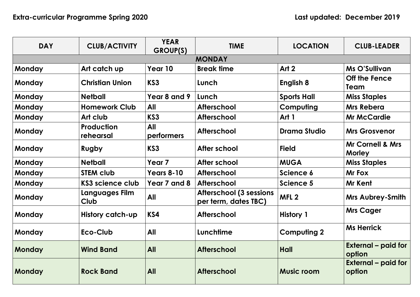| <b>DAY</b>    | <b>CLUB/ACTIVITY</b>           | <b>YEAR</b><br>GROUP(S)  | <b>TIME</b>                                            | <b>LOCATION</b>     | <b>CLUB-LEADER</b>                           |  |  |  |
|---------------|--------------------------------|--------------------------|--------------------------------------------------------|---------------------|----------------------------------------------|--|--|--|
| <b>MONDAY</b> |                                |                          |                                                        |                     |                                              |  |  |  |
| <b>Monday</b> | Art catch up                   | Year 10                  | <b>Break time</b>                                      | Art 2               | <b>Ms O'Sullivan</b>                         |  |  |  |
| <b>Monday</b> | <b>Christian Union</b>         | KS3                      | Lunch                                                  | <b>English 8</b>    | Off the Fence<br>Team                        |  |  |  |
| <b>Monday</b> | <b>Netball</b>                 | Year 8 and 9             | Lunch                                                  | <b>Sports Hall</b>  | <b>Miss Staples</b>                          |  |  |  |
| <b>Monday</b> | <b>Homework Club</b>           | <b>All</b>               | <b>Afterschool</b>                                     | <b>Computing</b>    | <b>Mrs Rebera</b>                            |  |  |  |
| Monday        | Art club                       | KS3                      | <b>Afterschool</b>                                     | Art 1               | <b>Mr McCardie</b>                           |  |  |  |
| <b>Monday</b> | <b>Production</b><br>rehearsal | <b>All</b><br>performers | <b>Afterschool</b>                                     | <b>Drama Studio</b> | <b>Mrs Grosvenor</b>                         |  |  |  |
| <b>Monday</b> | Rugby                          | KS3                      | After school                                           | <b>Field</b>        | <b>Mr Cornell &amp; Mrs</b><br><b>Morley</b> |  |  |  |
| <b>Monday</b> | <b>Netball</b>                 | Year <sub>7</sub>        | After school                                           | <b>MUGA</b>         | <b>Miss Staples</b>                          |  |  |  |
| <b>Monday</b> | <b>STEM club</b>               | <b>Years 8-10</b>        | <b>Afterschool</b>                                     | Science 6           | Mr Fox                                       |  |  |  |
| <b>Monday</b> | KS3 science club               | Year 7 and 8             | <b>Afterschool</b>                                     | <b>Science 5</b>    | <b>Mr Kent</b>                               |  |  |  |
| <b>Monday</b> | Languages Film<br><b>Club</b>  | <b>All</b>               | <b>Afterschool (3 sessions</b><br>per term, dates TBC) | MFL <sub>2</sub>    | <b>Mrs Aubrey-Smith</b>                      |  |  |  |
| <b>Monday</b> | <b>History catch-up</b>        | KS4                      | <b>Afterschool</b>                                     | <b>History 1</b>    | <b>Mrs Cager</b>                             |  |  |  |
| <b>Monday</b> | Eco-Club                       | All                      | Lunchtime                                              | <b>Computing 2</b>  | <b>Ms Herrick</b>                            |  |  |  |
| <b>Monday</b> | <b>Wind Band</b>               | <b>All</b>               | <b>Afterschool</b>                                     | Hall                | <b>External - paid for</b><br>option         |  |  |  |
| Monday        | <b>Rock Band</b>               | <b>All</b>               | <b>Afterschool</b>                                     | <b>Music room</b>   | <b>External – paid for</b><br>option         |  |  |  |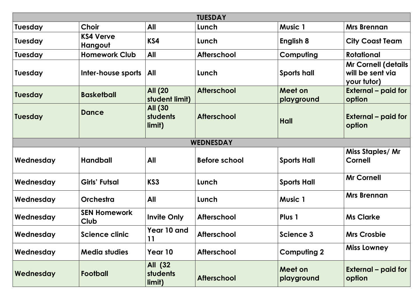| <b>TUESDAY</b>   |                                    |                                      |                      |                       |                                                               |  |  |
|------------------|------------------------------------|--------------------------------------|----------------------|-----------------------|---------------------------------------------------------------|--|--|
| <b>Tuesday</b>   | <b>Choir</b>                       | All                                  | Lunch                | <b>Music 1</b>        | <b>Mrs Brennan</b>                                            |  |  |
| <b>Tuesday</b>   | <b>KS4 Verve</b><br>Hangout        | KS4                                  | Lunch                | English 8             | <b>City Coast Team</b>                                        |  |  |
| <b>Tuesday</b>   | <b>Homework Club</b>               | <b>All</b>                           | <b>Afterschool</b>   | Computing             | Rotational                                                    |  |  |
| <b>Tuesday</b>   | Inter-house sports                 | <b>All</b>                           | Lunch                | <b>Sports hall</b>    | <b>Mr Cornell (details</b><br>will be sent via<br>your tutor) |  |  |
| <b>Tuesday</b>   | <b>Basketball</b>                  | <b>All (20</b><br>student limit)     | <b>Afterschool</b>   | Meet on<br>playground | <b>External – paid for</b><br>option                          |  |  |
| <b>Tuesday</b>   | Dance                              | <b>All (30</b><br>students<br>limit) | <b>Afterschool</b>   | Hall                  | <b>External – paid for</b><br>option                          |  |  |
| <b>WEDNESDAY</b> |                                    |                                      |                      |                       |                                                               |  |  |
| Wednesday        | <b>Handball</b>                    | All                                  | <b>Before school</b> | <b>Sports Hall</b>    | Miss Staples/ Mr<br><b>Cornell</b>                            |  |  |
| Wednesday        | Girls' Futsal                      | KS3                                  | Lunch                | <b>Sports Hall</b>    | <b>Mr Cornell</b>                                             |  |  |
| Wednesday        | <b>Orchestra</b>                   | All                                  | Lunch                | <b>Music 1</b>        | <b>Mrs Brennan</b>                                            |  |  |
| Wednesday        | <b>SEN Homework</b><br><b>Club</b> | <b>Invite Only</b>                   | <b>Afterschool</b>   | Plus 1                | <b>Ms Clarke</b>                                              |  |  |
| Wednesday        | Science clinic                     | Year 10 and<br>11                    | <b>Afterschool</b>   | Science 3             | <b>Mrs Crosbie</b>                                            |  |  |
| Wednesday        | <b>Media studies</b>               | Year 10                              | <b>Afterschool</b>   | <b>Computing 2</b>    | <b>Miss Lowney</b>                                            |  |  |
| Wednesday        | <b>Football</b>                    | All (32<br><b>students</b><br>limit) | <b>Afterschool</b>   | Meet on<br>playground | <b>External – paid for</b><br>option                          |  |  |